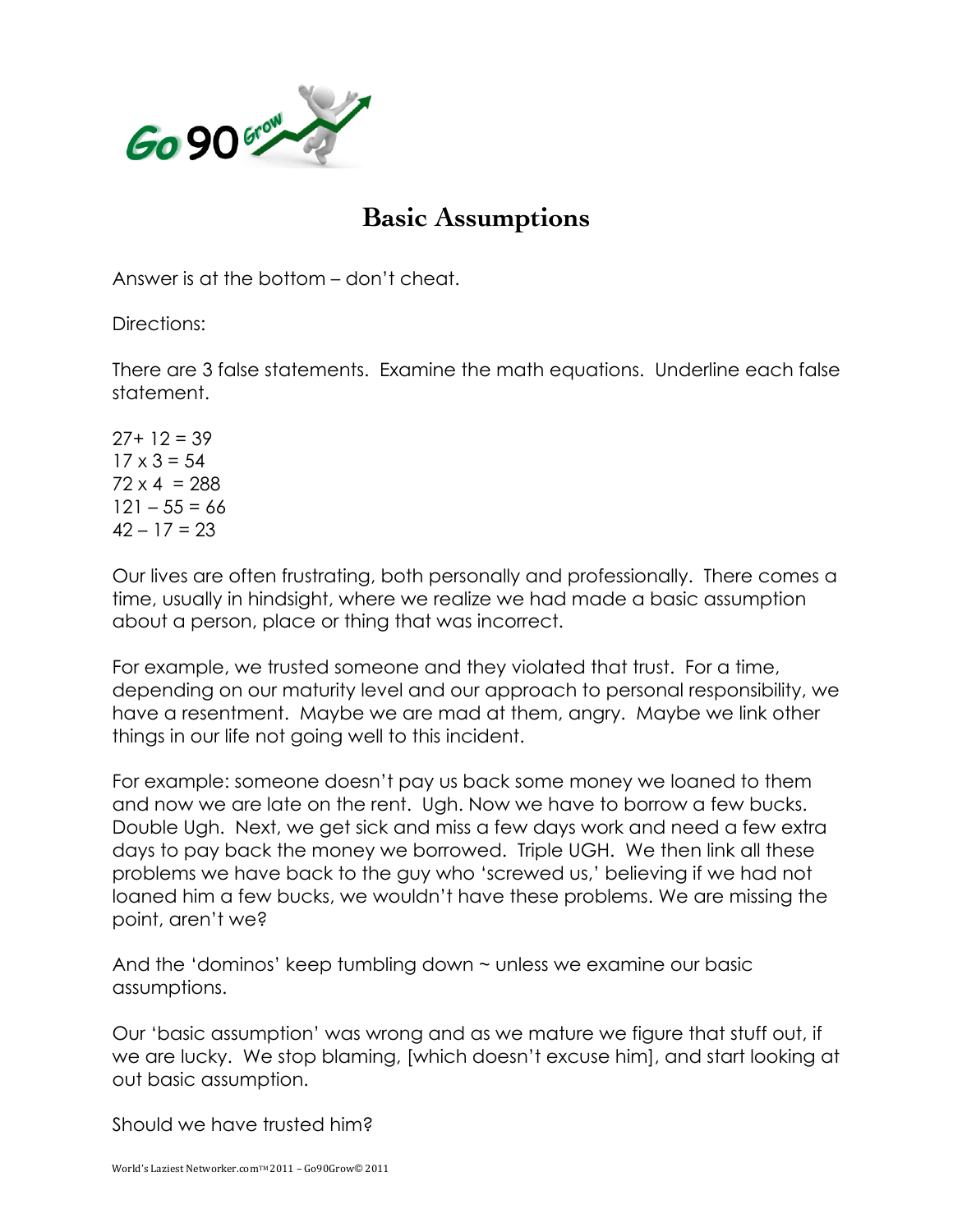

## **Basic Assumptions**

Answer is at the bottom – don't cheat.

Directions:

There are 3 false statements. Examine the math equations. Underline each false statement.

 $27+12=39$  $17 \times 3 = 54$  $72 \times 4 = 288$  $121 - 55 = 66$  $42 - 17 = 23$ 

Our lives are often frustrating, both personally and professionally. There comes a time, usually in hindsight, where we realize we had made a basic assumption about a person, place or thing that was incorrect.

For example, we trusted someone and they violated that trust. For a time, depending on our maturity level and our approach to personal responsibility, we have a resentment. Maybe we are mad at them, angry. Maybe we link other things in our life not going well to this incident.

For example: someone doesn't pay us back some money we loaned to them and now we are late on the rent. Ugh. Now we have to borrow a few bucks. Double Ugh. Next, we get sick and miss a few days work and need a few extra days to pay back the money we borrowed. Triple UGH. We then link all these problems we have back to the guy who 'screwed us,' believing if we had not loaned him a few bucks, we wouldn't have these problems. We are missing the point, aren't we?

And the 'dominos' keep tumbling down ~ unless we examine our basic assumptions.

Our 'basic assumption' was wrong and as we mature we figure that stuff out, if we are lucky. We stop blaming, [which doesn't excuse him], and start looking at out basic assumption.

Should we have trusted him?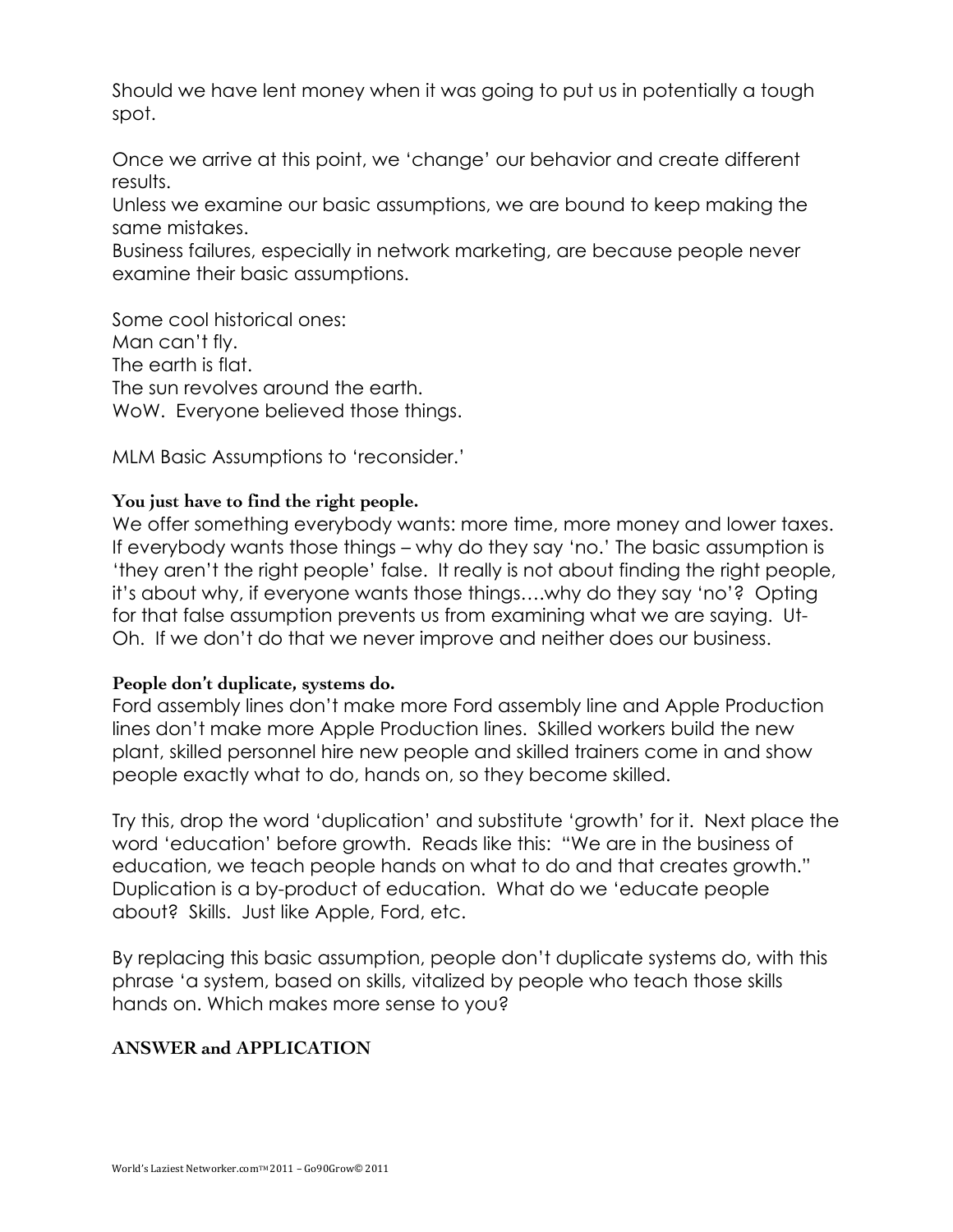Should we have lent money when it was going to put us in potentially a tough spot.

Once we arrive at this point, we 'change' our behavior and create different results.

Unless we examine our basic assumptions, we are bound to keep making the same mistakes.

Business failures, especially in network marketing, are because people never examine their basic assumptions.

Some cool historical ones: Man can't fly. The earth is flat. The sun revolves around the earth. WoW. Everyone believed those things.

MLM Basic Assumptions to 'reconsider.'

## **You just have to find the right people.**

We offer something everybody wants: more time, more money and lower taxes. If everybody wants those things – why do they say 'no.' The basic assumption is 'they aren't the right people' false. It really is not about finding the right people, it's about why, if everyone wants those things….why do they say 'no'? Opting for that false assumption prevents us from examining what we are saying. Ut-Oh. If we don't do that we never improve and neither does our business.

## **People don't duplicate, systems do.**

Ford assembly lines don't make more Ford assembly line and Apple Production lines don't make more Apple Production lines. Skilled workers build the new plant, skilled personnel hire new people and skilled trainers come in and show people exactly what to do, hands on, so they become skilled.

Try this, drop the word 'duplication' and substitute 'growth' for it. Next place the word 'education' before growth. Reads like this: "We are in the business of education, we teach people hands on what to do and that creates growth." Duplication is a by-product of education. What do we 'educate people about? Skills. Just like Apple, Ford, etc.

By replacing this basic assumption, people don't duplicate systems do, with this phrase 'a system, based on skills, vitalized by people who teach those skills hands on. Which makes more sense to you?

## **ANSWER and APPLICATION**